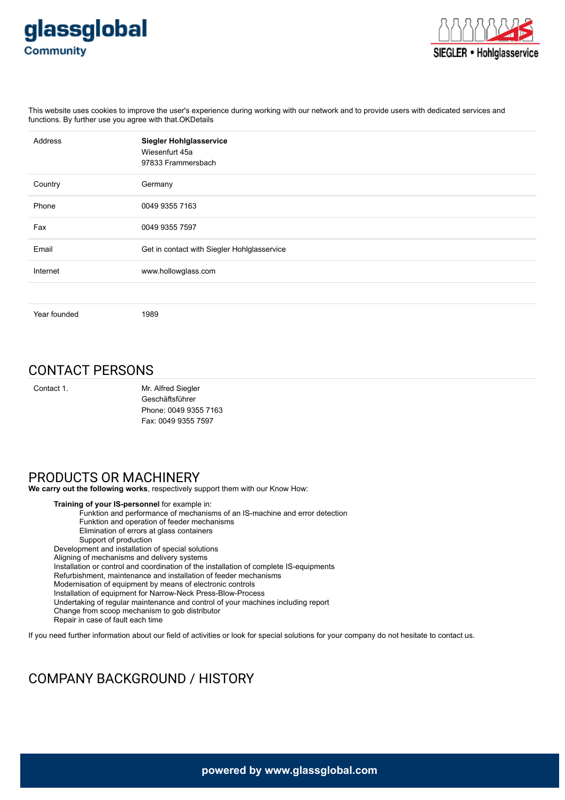



This website uses cookies to improve the user's experience during working with our network and to provide users with dedicated services and functions. By further use you agree with that.OKDetails

| <b>Address</b> | <b>Siegler Hohlglasservice</b><br>Wiesenfurt 45a<br>97833 Frammersbach |
|----------------|------------------------------------------------------------------------|
| Country        | Germany                                                                |
| Phone          | 0049 9355 7163                                                         |
| Fax            | 0049 9355 7597                                                         |
| Email          | Get in contact with Siegler Hohlglasservice                            |
| Internet       | www.hollowglass.com                                                    |
|                |                                                                        |
| Year founded   | 1989                                                                   |

## CONTACT PERSONS

Contact 1. Mr. Alfred Siegler Geschäftsführer Phone: 0049 9355 7163 Fax: 0049 9355 7597

## PRODUCTS OR MACHINERY

**We carry out the following works**, respectively support them with our Know How:

**Training of your IS-personnel** for example in: Funktion and performance of mechanisms of an IS-machine and error detection Funktion and operation of feeder mechanisms Elimination of errors at glass containers Support of production Development and installation of special solutions Aligning of mechanisms and delivery systems Installation or control and coordination of the installation of complete IS-equipments Refurbishment, maintenance and installation of feeder mechanisms Modernisation of equipment by means of electronic controls Installation of equipment for Narrow-Neck Press-Blow-Process Undertaking of regular maintenance and control of your machines including report Change from scoop mechanism to gob distributor Repair in case of fault each time

If you need further information about our field of activities or look for special solutions for your company do not hesitate to contact us.

## COMPANY BACKGROUND / HISTORY